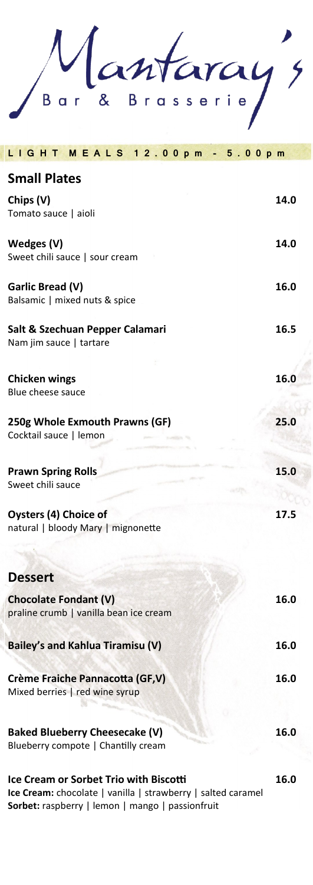Mantaray's

| LIGHT MEALS 12.00pm - 5.00pm                                                                                  |      |
|---------------------------------------------------------------------------------------------------------------|------|
| <b>Small Plates</b>                                                                                           |      |
| Chips (V)<br>Tomato sauce   aioli                                                                             | 14.0 |
| Wedges (V)<br>Sweet chili sauce   sour cream                                                                  | 14.0 |
| Garlic Bread (V)<br>Balsamic   mixed nuts & spice                                                             | 16.0 |
| Salt & Szechuan Pepper Calamari<br>Nam jim sauce   tartare                                                    | 16.5 |
| <b>Chicken wings</b><br><b>Blue cheese sauce</b>                                                              | 16.0 |
| 250g Whole Exmouth Prawns (GF)<br>Cocktail sauce   lemon                                                      | 25.0 |
| <b>Prawn Spring Rolls</b><br>Sweet chili sauce                                                                | 15.0 |
| <b>Oysters (4) Choice of</b><br>natural   bloody Mary   mignonette                                            | 17.5 |
| <b>Dessert</b>                                                                                                |      |
| <b>Chocolate Fondant (V)</b><br>praline crumb   vanilla bean ice cream                                        | 16.0 |
| <b>Bailey's and Kahlua Tiramisu (V)</b>                                                                       | 16.0 |
| Crème Fraiche Pannacotta (GF,V)<br>Mixed berries   red wine syrup                                             | 16.0 |
| <b>Baked Blueberry Cheesecake (V)</b><br>Blueberry compote   Chantilly cream                                  | 16.0 |
| Ice Cream or Sorbet Trio with Biscotti<br><b>Ice Cream:</b> chocolate I vanilla I strawberry I salted caramel | 16.0 |

Sorbet: raspberry | lemon | mango | passionfruit